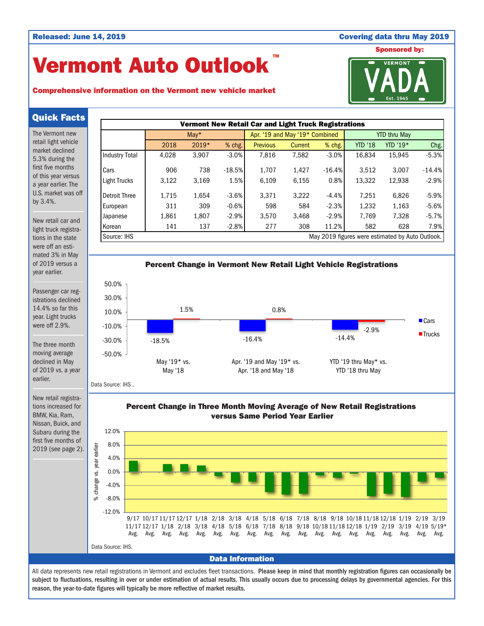## Released: June 14, 2019 Covering data thru May 2019

# Vermont Auto Outlook TM

# Comprehensive information on the Vermont new vehicle market



## Quick Facts

The Vermont new retail light vehicle market declined 5.3% during the first five months of this year versus a year earlier. The U.S. market was off by 3.4%.

New retail car and light truck registrations in the state were off an estimated 3% in May of 2019 versus a year earlier.

Passenger car registrations declined 14.4% so far this year. Light trucks were off 2.9%.

The three month moving average declined in May of 2019 vs. a year earlier.

New retail registrations increased for BMW, Kia, Ram, Nissan, Buick, and Subaru during the first five months of 2019 (see page 2).





Percent Change in Three Month Moving Average of New Retail Registrations versus Same Period Year Earlier



Data Information

All data represents new retail registrations in Vermont and excludes fleet transactions. Please keep in mind that monthly registration figures can occasionally be subject to fluctuations, resulting in over or under estimation of actual results. This usually occurs due to processing delays by governmental agencies. For this reason, the year-to-date figures will typically be more reflective of market results.